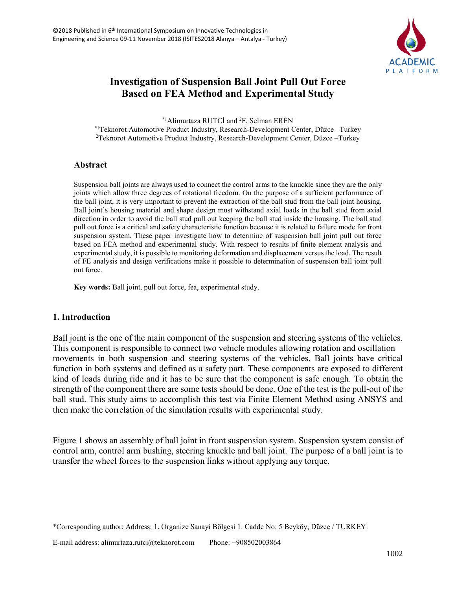

# **Investigation of Suspension Ball Joint Pull Out Force Based on FEA Method and Experimental Study**

 $*1$ Alimurtaza RUTCİ and  $*1$ . Selman EREN \*1Teknorot Automotive Product Industry, Research-Development Center, Düzce –Turkey <sup>2</sup>Teknorot Automotive Product Industry, Research-Development Center, Düzce –Turkey

### **Abstract**

Suspension ball joints are always used to connect the control arms to the knuckle since they are the only joints which allow three degrees of rotational freedom. On the purpose of a sufficient performance of the ball joint, it is very important to prevent the extraction of the ball stud from the ball joint housing. Ball joint's housing material and shape design must withstand axial loads in the ball stud from axial direction in order to avoid the ball stud pull out keeping the ball stud inside the housing. The ball stud pull out force is a critical and safety characteristic function because it is related to failure mode for front suspension system. These paper investigate how to determine of suspension ball joint pull out force based on FEA method and experimental study. With respect to results of finite element analysis and experimental study, it is possible to monitoring deformation and displacement versus the load. The result of FE analysis and design verifications make it possible to determination of suspension ball joint pull out force.

**Key words:** Ball joint, pull out force, fea, experimental study.

### **1. Introduction**

Ball joint is the one of the main component of the suspension and steering systems of the vehicles. This component is responsible to connect two vehicle modules allowing rotation and oscillation movements in both suspension and steering systems of the vehicles. Ball joints have critical function in both systems and defined as a safety part. These components are exposed to different kind of loads during ride and it has to be sure that the component is safe enough. To obtain the strength of the component there are some tests should be done. One of the test is the pull-out of the ball stud. This study aims to accomplish this test via Finite Element Method using ANSYS and then make the correlation of the simulation results with experimental study.

Figure 1 shows an assembly of ball joint in front suspension system. Suspension system consist of control arm, control arm bushing, steering knuckle and ball joint. The purpose of a ball joint is to transfer the wheel forces to the suspension links without applying any torque.

<sup>\*</sup>Corresponding author: Address: 1. Organize Sanayi Bölgesi 1. Cadde No: 5 Beyköy, Düzce / TURKEY.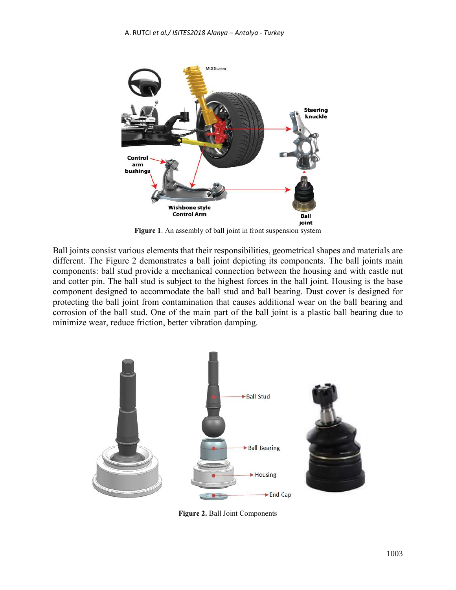

**Figure 1**. An assembly of ball joint in front suspension system

Ball joints consist various elements that their responsibilities, geometrical shapes and materials are different. The Figure 2 demonstrates a ball joint depicting its components. The ball joints main components: ball stud provide a mechanical connection between the housing and with castle nut and cotter pin. The ball stud is subject to the highest forces in the ball joint. Housing is the base component designed to accommodate the ball stud and ball bearing. Dust cover is designed for protecting the ball joint from contamination that causes additional wear on the ball bearing and corrosion of the ball stud. One of the main part of the ball joint is a plastic ball bearing due to minimize wear, reduce friction, better vibration damping.



**Figure 2.** Ball Joint Components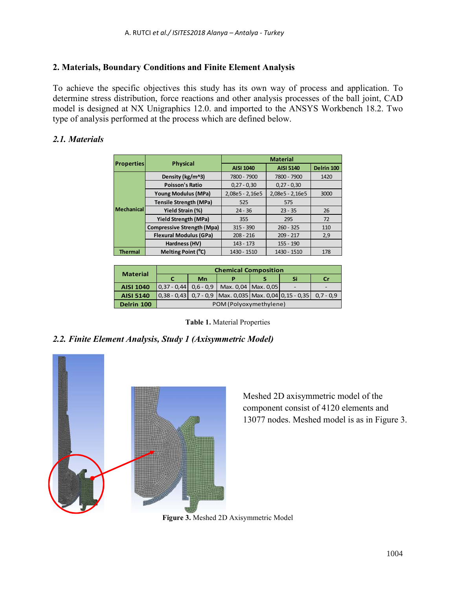## **2. Materials, Boundary Conditions and Finite Element Analysis**

To achieve the specific objectives this study has its own way of process and application. To determine stress distribution, force reactions and other analysis processes of the ball joint, CAD model is designed at NX Unigraphics 12.0. and imported to the ANSYS Workbench 18.2. Two type of analysis performed at the process which are defined below.

# *2.1. Materials*

| <b>Properties</b> |                                   | <b>Material</b>  |                  |            |  |
|-------------------|-----------------------------------|------------------|------------------|------------|--|
|                   | <b>Physical</b>                   | <b>AISI 1040</b> | <b>AISI 5140</b> | Delrin 100 |  |
| <b>Mechanical</b> | Density (kg/m^3)                  | 7800 - 7900      | 7800 - 7900      | 1420       |  |
|                   | <b>Poisson's Ratio</b>            | $0,27 - 0,30$    | $0,27 - 0,30$    |            |  |
|                   | Young Modulus (MPa)               | 2,08e5 - 2,16e5  | 2,08e5 - 2,16e5  | 3000       |  |
|                   | <b>Tensile Strength (MPa)</b>     | 525              | 575              |            |  |
|                   | Yield Strain (%)                  | $24 - 36$        | $23 - 35$        | 26         |  |
|                   | <b>Yield Strength (MPa)</b>       | 355              | 295              | 72         |  |
|                   | <b>Compressive Strength (Mpa)</b> | $315 - 390$      | $260 - 325$      | 110        |  |
|                   | <b>Flexural Modulus (GPa)</b>     | $208 - 216$      | $209 - 217$      | 2,9        |  |
|                   | Hardness (HV)                     | $143 - 173$      | 155 - 190        |            |  |
| <b>Thermal</b>    | Melting Point (°C)                | 1430 - 1510      | 1430 - 1510      | 178        |  |

| <b>Material</b>  | <b>Chemical Composition</b> |    |                                                                                      |  |    |    |
|------------------|-----------------------------|----|--------------------------------------------------------------------------------------|--|----|----|
|                  | C                           | Mn |                                                                                      |  | Si | Cr |
| <b>AISI 1040</b> |                             |    | $\vert 0.37 - 0.44 \vert 0.6 - 0.9 \vert$ Max. 0.04   Max. 0.05                      |  |    |    |
| <b>AISI 5140</b> |                             |    | $\vert 0.38 - 0.43 \vert 0.7 - 0.9 \vert$ Max. 0.035 Max. 0.04 0.15 - 0.35 0.7 - 0.9 |  |    |    |
| Delrin 100       | POM (Polyoxymethylene)      |    |                                                                                      |  |    |    |

**Table 1.** Material Properties

## *2.2. Finite Element Analysis, Study 1 (Axisymmetric Model)*



Meshed 2D axisymmetric model of the component consist of 4120 elements and 13077 nodes. Meshed model is as in Figure 3.

**Figure 3.** Meshed 2D Axisymmetric Model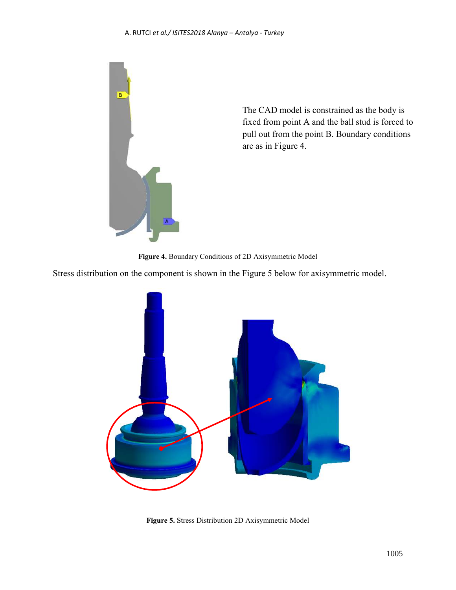#### A. RUTCI *et al./ ISITES2018 Alanya – Antalya - Turkey*



The CAD model is constrained as the body is fixed from point A and the ball stud is forced to pull out from the point B. Boundary conditions are as in Figure 4.

**Figure 4.** Boundary Conditions of 2D Axisymmetric Model

Stress distribution on the component is shown in the Figure 5 below for axisymmetric model.



**Figure 5.** Stress Distribution 2D Axisymmetric Model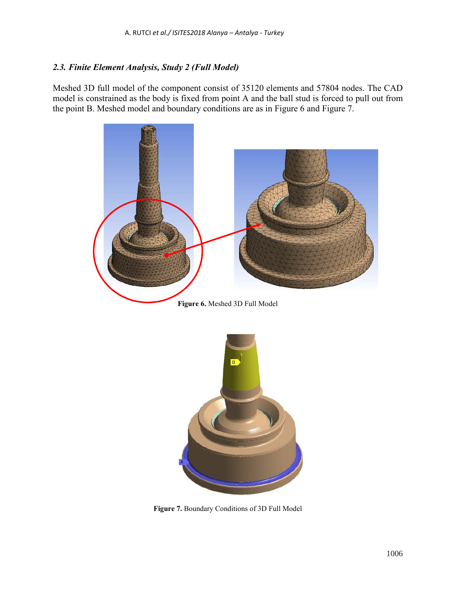## *2.3. Finite Element Analysis, Study 2 (Full Model)*

Meshed 3D full model of the component consist of 35120 elements and 57804 nodes. The CAD model is constrained as the body is fixed from point A and the ball stud is forced to pull out from the point B. Meshed model and boundary conditions are as in Figure 6 and Figure 7.



**Figure 7.** Boundary Conditions of 3D Full Model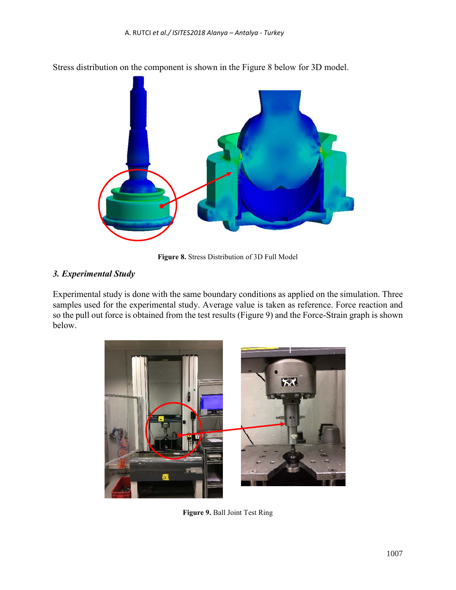

Stress distribution on the component is shown in the Figure 8 below for 3D model.

**Figure 8.** Stress Distribution of 3D Full Model

# *3. Experimental Study*

Experimental study is done with the same boundary conditions as applied on the simulation. Three samples used for the experimental study. Average value is taken as reference. Force reaction and so the pull out force is obtained from the test results (Figure 9) and the Force-Strain graph is shown below.



**Figure 9.** Ball Joint Test Ring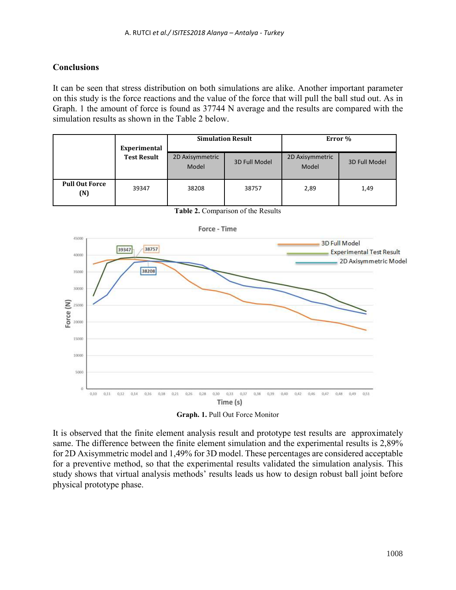# **Conclusions**

It can be seen that stress distribution on both simulations are alike. Another important parameter on this study is the force reactions and the value of the force that will pull the ball stud out. As in Graph. 1 the amount of force is found as 37744 N average and the results are compared with the simulation results as shown in the Table 2 below.

|                              | Experimental<br><b>Test Result</b> | <b>Simulation Result</b> |               | Error %                  |               |
|------------------------------|------------------------------------|--------------------------|---------------|--------------------------|---------------|
|                              |                                    | 2D Axisymmetric<br>Model | 3D Full Model | 2D Axisymmetric<br>Model | 3D Full Model |
| <b>Pull Out Force</b><br>(N) | 39347                              | 38208                    | 38757         | 2,89                     | 1,49          |



**Table 2.** Comparison of the Results

**Graph. 1.** Pull Out Force Monitor

It is observed that the finite element analysis result and prototype test results are approximately same. The difference between the finite element simulation and the experimental results is 2,89% for 2D Axisymmetric model and 1,49% for 3D model. These percentages are considered acceptable for a preventive method, so that the experimental results validated the simulation analysis. This study shows that virtual analysis methods' results leads us how to design robust ball joint before physical prototype phase.